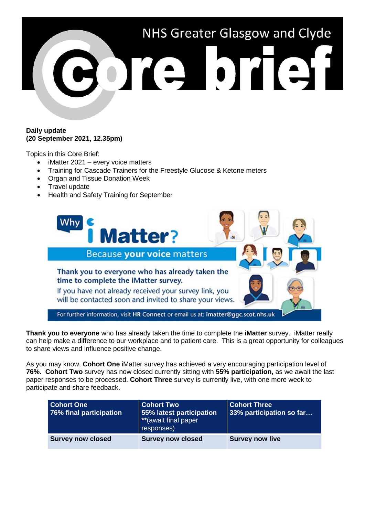

#### **Daily update (20 September 2021, 12.35pm)**

Topics in this Core Brief:

- iMatter 2021 every voice matters
- Training for Cascade Trainers for the Freestyle Glucose & Ketone meters
- Organ and Tissue Donation Week
- Travel update
- Health and Safety Training for September



**Thank you to everyone** who has already taken the time to complete the **iMatter** survey. iMatter really can help make a difference to our workplace and to patient care. This is a great opportunity for colleagues to share views and influence positive change.

As you may know, **Cohort One** iMatter survey has achieved a very encouraging participation level of **76%. Cohort Two** survey has now closed currently sitting with **55% participation,** as we await the last paper responses to be processed. **Cohort Three** survey is currently live, with one more week to participate and share feedback.

| <b>Cohort One</b><br>76% final participation | <b>Cohort Two</b><br>55% latest participation<br>**(await final paper<br>responses) | <b>Cohort Three</b><br>33% participation so far |
|----------------------------------------------|-------------------------------------------------------------------------------------|-------------------------------------------------|
| <b>Survey now closed</b>                     | <b>Survey now closed</b>                                                            | <b>Survey now live</b>                          |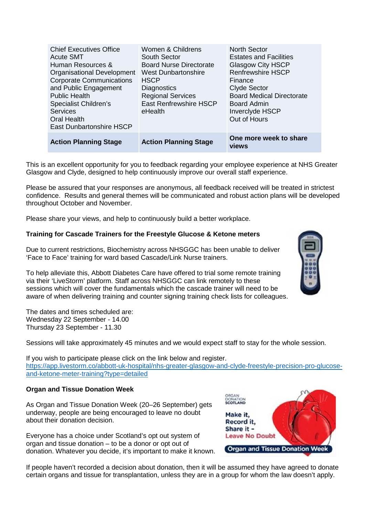| Women & Childrens              | <b>North Sector</b>                                |
|--------------------------------|----------------------------------------------------|
| South Sector                   | <b>Estates and Facilities</b>                      |
| <b>Board Nurse Directorate</b> | <b>Glasgow City HSCP</b>                           |
| <b>West Dunbartonshire</b>     | <b>Renfrewshire HSCP</b>                           |
| <b>HSCP</b>                    | Finance                                            |
| Diagnostics                    | <b>Clyde Sector</b>                                |
|                                | <b>Board Medical Directorate</b>                   |
|                                | <b>Board Admin</b>                                 |
| eHealth                        | <b>Inverclyde HSCP</b>                             |
|                                | Out of Hours                                       |
|                                |                                                    |
| <b>Action Planning Stage</b>   | One more week to share<br>views                    |
|                                | <b>Regional Services</b><br>East Renfrewshire HSCP |

This is an excellent opportunity for you to feedback regarding your employee experience at NHS Greater Glasgow and Clyde, designed to help continuously improve our overall staff experience.

Please be assured that your responses are anonymous, all feedback received will be treated in strictest confidence. Results and general themes will be communicated and robust action plans will be developed throughout October and November.

Please share your views, and help to continuously build a better workplace.

## **Training for Cascade Trainers for the Freestyle Glucose & Ketone meters**

Due to current restrictions, Biochemistry across NHSGGC has been unable to deliver 'Face to Face' training for ward based Cascade/Link Nurse trainers.

To help alleviate this, Abbott Diabetes Care have offered to trial some remote training via their 'LiveStorm' platform. Staff across NHSGGC can link remotely to these sessions which will cover the fundamentals which the cascade trainer will need to be aware of when delivering training and counter signing training check lists for colleagues.

The dates and times scheduled are: Wednesday 22 September - 14.00 Thursday 23 September - 11.30

Sessions will take approximately 45 minutes and we would expect staff to stay for the whole session.

If you wish to participate please click on the link below and register. [https://app.livestorm.co/abbott-uk-hospital/nhs-greater-glasgow-and-clyde-freestyle-precision-pro-glucose](https://app.livestorm.co/abbott-uk-hospital/nhs-greater-glasgow-and-clyde-freestyle-precision-pro-glucose-and-ketone-meter-training?type=detailed)[and-ketone-meter-training?type=detailed](https://app.livestorm.co/abbott-uk-hospital/nhs-greater-glasgow-and-clyde-freestyle-precision-pro-glucose-and-ketone-meter-training?type=detailed)

#### **Organ and Tissue Donation Week**

As Organ and Tissue Donation Week (20–26 September) gets underway, people are being encouraged to leave no doubt about their donation decision.

Everyone has a choice under Scotland's opt out system of organ and tissue donation – to be a donor or opt out of donation. Whatever you decide, it's important to make it known.



If people haven't recorded a decision about donation, then it will be assumed they have agreed to donate certain organs and tissue for transplantation, unless they are in a group for whom the law doesn't apply.